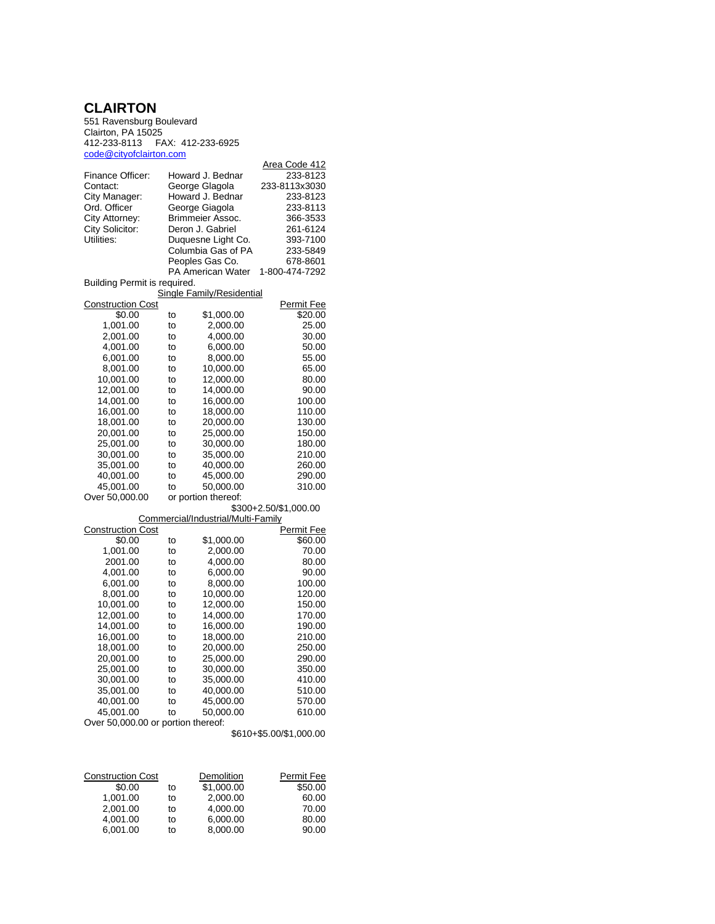## **CLAIRTON**

551 Ravensburg Boulevard Clairton, PA 15025 412-233-8113 FAX: 412-233-6925 <code@cityofclairton.com>

| <u>uuu wurguudii lurivuri</u>      |    |                                    |                           |  |  |
|------------------------------------|----|------------------------------------|---------------------------|--|--|
| Finance Officer:                   |    | Howard J. Bednar                   | Area Code 412<br>233-8123 |  |  |
|                                    |    |                                    |                           |  |  |
| Contact:                           |    | George Glagola                     | 233-8113x3030             |  |  |
| City Manager:                      |    | Howard J. Bednar                   | 233-8123                  |  |  |
| Ord. Officer                       |    | George Giagola                     | 233-8113                  |  |  |
| City Attorney:                     |    | Brimmeier Assoc.                   | 366-3533                  |  |  |
| City Solicitor:                    |    | Deron J. Gabriel                   | 261-6124                  |  |  |
| Utilities:                         |    | Duquesne Light Co.                 | 393-7100                  |  |  |
|                                    |    | Columbia Gas of PA                 | 233-5849                  |  |  |
|                                    |    | Peoples Gas Co.                    | 678-8601                  |  |  |
|                                    |    | <b>PA American Water</b>           | 1-800-474-7292            |  |  |
| Building Permit is required.       |    |                                    |                           |  |  |
|                                    |    | Single Family/Residential          |                           |  |  |
| <b>Construction Cost</b>           |    |                                    | Permit Fee                |  |  |
| \$0.00                             | to | \$1,000.00                         | \$20.00                   |  |  |
| 1,001.00                           | to | 2,000.00                           | 25.00                     |  |  |
| 2,001.00                           | to | 4,000.00                           | 30.00                     |  |  |
| 4,001.00                           | to | 6,000.00                           | 50.00                     |  |  |
| 6,001.00                           | to | 8,000.00                           | 55.00                     |  |  |
|                                    |    |                                    |                           |  |  |
| 8,001.00                           | to | 10,000.00                          | 65.00                     |  |  |
| 10,001.00                          | to | 12,000.00                          | 80.00                     |  |  |
| 12,001.00                          | to | 14,000.00                          | 90.00                     |  |  |
| 14,001.00                          | to | 16,000.00                          | 100.00                    |  |  |
| 16,001.00                          | to | 18,000.00                          | 110.00                    |  |  |
| 18,001.00                          | to | 20,000.00                          | 130.00                    |  |  |
| 20,001.00                          | to | 25,000.00                          | 150.00                    |  |  |
| 25,001.00                          | to | 30,000.00                          | 180.00                    |  |  |
| 30,001.00                          | to | 35,000.00                          | 210.00                    |  |  |
| 35,001.00                          | to | 40,000.00                          | 260.00                    |  |  |
| 40,001.00                          | to | 45,000.00                          | 290.00                    |  |  |
| 45,001.00                          | to | 50,000.00                          | 310.00                    |  |  |
|                                    |    |                                    |                           |  |  |
| Over 50,000.00                     |    | or portion thereof:                | \$300+2.50/\$1,000.00     |  |  |
|                                    |    | Commercial/Industrial/Multi-Family |                           |  |  |
| <b>Construction Cost</b>           |    |                                    | <u>Permit Fee</u>         |  |  |
| \$0.00                             | to | \$1,000.00                         | \$60.00                   |  |  |
| 1,001.00                           | to | 2,000.00                           | 70.00                     |  |  |
| 2001.00                            | to | 4,000.00                           | 80.00                     |  |  |
|                                    |    |                                    |                           |  |  |
| 4,001.00                           | to | 6,000.00                           | 90.00                     |  |  |
| 6,001.00                           | to | 8,000.00                           | 100.00                    |  |  |
| 8,001.00                           | to | 10,000.00                          | 120.00                    |  |  |
| 10,001.00                          | to | 12,000.00                          | 150.00                    |  |  |
| 12,001.00                          | to | 14,000.00                          | 170.00                    |  |  |
| 14,001.00                          | to | 16,000.00                          | 190.00                    |  |  |
| 16,001.00                          | to | 18,000.00                          | 210.00                    |  |  |
| 18,001.00                          | to | 20,000.00                          | 250.00                    |  |  |
| 20,001.00                          | to | 25,000.00                          | 290.00                    |  |  |
| 25,001.00                          | to | 30,000.00                          | 350.00                    |  |  |
| 30,001.00                          | to | 35,000.00                          | 410.00                    |  |  |
| 35,001.00                          | to | 40,000.00                          | 510.00                    |  |  |
| 40,001.00                          | to | 45,000.00                          | 570.00                    |  |  |
| 45,001.00                          | to | 50,000.00                          | 610.00                    |  |  |
|                                    |    |                                    |                           |  |  |
| Over 50,000.00 or portion thereof: |    |                                    |                           |  |  |

\$610+\$5.00/\$1,000.00

| <b>Construction Cost</b> |    | Demolition | Permit Fee |
|--------------------------|----|------------|------------|
| \$0.00                   | to | \$1,000.00 | \$50.00    |
| 1.001.00                 | to | 2.000.00   | 60.00      |
| 2.001.00                 | to | 4.000.00   | 70.00      |
| 4,001.00                 | to | 6,000.00   | 80.00      |
| 6.001.00                 | to | 8.000.00   | 90.00      |